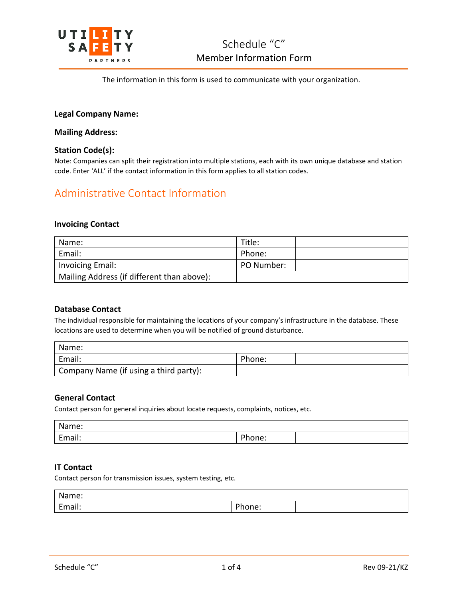

The information in this form is used to communicate with your organization.

## **Legal Company Name:**

## **Mailing Address:**

## **Station Code(s):**

Note: Companies can split their registration into multiple stations, each with its own unique database and station code. Enter 'ALL' if the contact information in this form applies to all station codes.

# Administrative Contact Information

## **Invoicing Contact**

| Name:                                      | Title:     |
|--------------------------------------------|------------|
| Email:                                     | Phone:     |
| <b>Invoicing Email:</b>                    | PO Number: |
| Mailing Address (if different than above): |            |

## **Database Contact**

The individual responsible for maintaining the locations of your company's infrastructure in the database. These locations are used to determine when you will be notified of ground disturbance.

| Name:  |                                        |        |  |
|--------|----------------------------------------|--------|--|
| Email: |                                        | Phone: |  |
|        | Company Name (if using a third party): |        |  |

### **General Contact**

Contact person for general inquiries about locate requests, complaints, notices, etc.

| N.<br>Name:                              |              |  |
|------------------------------------------|--------------|--|
| $\overline{\phantom{0}}$<br>. .<br>idil. | - 1<br>1 C . |  |

## **IT Contact**

Contact person for transmission issues, system testing, etc.

| Name:  |        |  |
|--------|--------|--|
| Email: | 'hone: |  |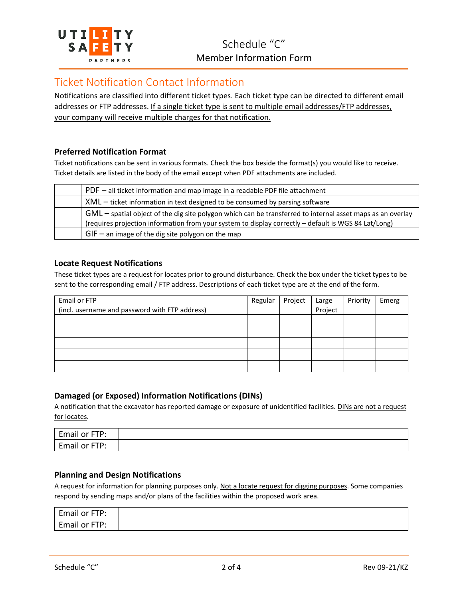

# Ticket Notification Contact Information

Notifications are classified into different ticket types. Each ticket type can be directed to different email addresses or FTP addresses. If a single ticket type is sent to multiple email addresses/FTP addresses, your company will receive multiple charges for that notification.

## **Preferred Notification Format**

Ticket notifications can be sent in various formats. Check the box beside the format(s) you would like to receive. Ticket details are listed in the body of the email except when PDF attachments are included.

| $PDF - all$ ticket information and map image in a readable PDF file attachment                               |
|--------------------------------------------------------------------------------------------------------------|
| XML – ticket information in text designed to be consumed by parsing software                                 |
| $GML$ – spatial object of the dig site polygon which can be transferred to internal asset maps as an overlay |
| (requires projection information from your system to display correctly - default is WGS 84 Lat/Long)         |
| $GIF -$ an image of the dig site polygon on the map                                                          |

## **Locate Request Notifications**

These ticket types are a request for locates prior to ground disturbance. Check the box under the ticket types to be sent to the corresponding email / FTP address. Descriptions of each ticket type are at the end of the form.

| Email or FTP                                   | Regular | Project | Large<br>Project | Priority | Emerg |
|------------------------------------------------|---------|---------|------------------|----------|-------|
| (incl. username and password with FTP address) |         |         |                  |          |       |
|                                                |         |         |                  |          |       |
|                                                |         |         |                  |          |       |
|                                                |         |         |                  |          |       |
|                                                |         |         |                  |          |       |
|                                                |         |         |                  |          |       |

# **Damaged (or Exposed) Information Notifications (DINs)**

A notification that the excavator has reported damage or exposure of unidentified facilities. DINs are not a request for locates.

| Email<br>стр∙<br>. or<br>. .      |  |
|-----------------------------------|--|
| Email<br><b>CTD.</b><br>. or<br>. |  |

## **Planning and Design Notifications**

A request for information for planning purposes only. Not a locate request for digging purposes. Some companies respond by sending maps and/or plans of the facilities within the proposed work area.

| $\overline{ }$<br><b>CTD</b><br>. .<br><b>E</b> man<br>nail<br>.or<br>. |  |
|-------------------------------------------------------------------------|--|
| $\overline{\phantom{0}}$<br><b>CTD.</b><br>Email<br>.or<br>.<br>.       |  |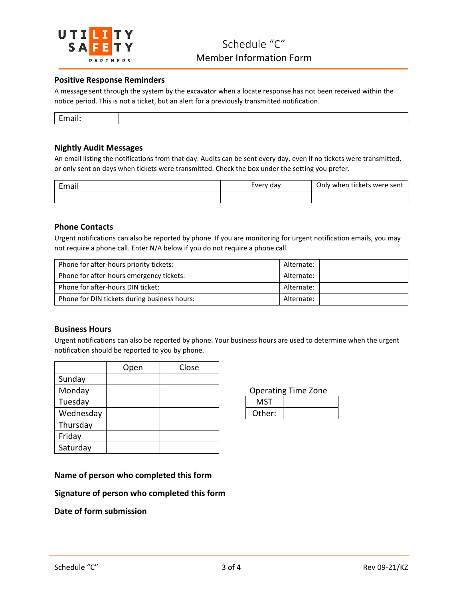

## **Positive Response Reminders**

A message sent through the system by the excavator when a locate response has not been received within the notice period. This is not a ticket, but an alert for a previously transmitted notification.

### **Nightly Audit Messages**

An email listing the notifications from that day. Audits can be sent every day, even if no tickets were transmitted, or only sent on days when tickets were transmitted. Check the box under the setting you prefer.

| Email | Every day | Only when tickets were sent |  |
|-------|-----------|-----------------------------|--|
|       |           |                             |  |

### **Phone Contacts**

Urgent notifications can also be reported by phone. If you are monitoring for urgent notification emails, you may not require a phone call. Enter N/A below if you do not require a phone call.

| Phone for after-hours priority tickets:      | Alternate: |  |
|----------------------------------------------|------------|--|
| Phone for after-hours emergency tickets:     | Alternate: |  |
| Phone for after-hours DIN ticket:            | Alternate: |  |
| Phone for DIN tickets during business hours: | Alternate: |  |

### **Business Hours**

Urgent notifications can also be reported by phone. Your business hours are used to determine when the urgent notification should be reported to you by phone.

|           | Open | Close |            |
|-----------|------|-------|------------|
| Sunday    |      |       |            |
| Monday    |      |       | Operat     |
| Tuesday   |      |       | <b>MST</b> |
| Wednesday |      |       | Other:     |
| Thursday  |      |       |            |
| Friday    |      |       |            |
| Saturday  |      |       |            |

**Operating Time Zone** 

| MST    |  |
|--------|--|
| Other: |  |

## **Name of person who completed this form**

**Signature of person who completed this form**

## **Date of form submission**